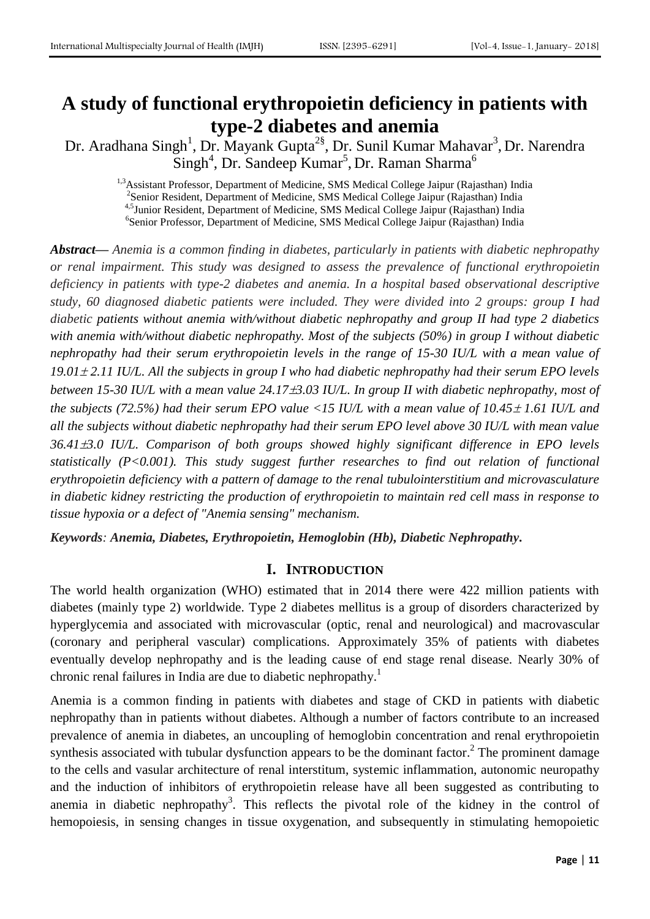# **A study of functional erythropoietin deficiency in patients with type-2 diabetes and anemia**

Dr. Aradhana Singh<sup>1</sup>, Dr. Mayank Gupta<sup>2§</sup>, Dr. Sunil Kumar Mahavar<sup>3</sup>, Dr. Narendra Singh<sup>4</sup>, Dr. Sandeep Kumar<sup>5</sup>, Dr. Raman Sharma<sup>6</sup>

<sup>1,3</sup>Assistant Professor, Department of Medicine, SMS Medical College Jaipur (Rajasthan) India <sup>2</sup> Senior Resident, Department of Medicine, SMS Medical College Jaipur (Rajasthan) India <sup>4,5</sup>Junior Resident, Department of Medicine, SMS Medical College Jaipur (Rajasthan) India <sup>6</sup>Senior Professor, Department of Medicine, SMS Medical College Jaipur (Rajasthan) India

*Abstract— Anemia is a common finding in diabetes, particularly in patients with diabetic nephropathy or renal impairment. This study was designed to assess the prevalence of functional erythropoietin deficiency in patients with type-2 diabetes and anemia. In a hospital based observational descriptive study, 60 diagnosed diabetic patients were included. They were divided into 2 groups: group I had diabetic patients without anemia with/without diabetic nephropathy and group II had type 2 diabetics with anemia with/without diabetic nephropathy. Most of the subjects (50%) in group I without diabetic nephropathy had their serum erythropoietin levels in the range of 15-30 IU/L with a mean value of 19.01 2.11 IU/L. All the subjects in group I who had diabetic nephropathy had their serum EPO levels between 15-30 IU/L with a mean value 24.173.03 IU/L. In group II with diabetic nephropathy, most of the subjects (72.5%) had their serum EPO value <15 IU/L with a mean value of 10.45*  $\pm$  *1.61 IU/L and all the subjects without diabetic nephropathy had their serum EPO level above 30 IU/L with mean value 36.413.0 IU/L. Comparison of both groups showed highly significant difference in EPO levels statistically (P<0.001). This study suggest further researches to find out relation of functional erythropoietin deficiency with a pattern of damage to the renal tubulointerstitium and microvasculature in diabetic kidney restricting the production of erythropoietin to maintain red cell mass in response to tissue hypoxia or a defect of "Anemia sensing" mechanism.*

*Keywords: Anemia, Diabetes, Erythropoietin, Hemoglobin (Hb), Diabetic Nephropathy.*

### **I. INTRODUCTION**

The world health organization (WHO) estimated that in 2014 there were 422 million patients with diabetes (mainly type 2) worldwide. Type 2 diabetes mellitus is a group of disorders characterized by hyperglycemia and associated with microvascular (optic, renal and neurological) and macrovascular (coronary and peripheral vascular) complications. Approximately 35% of patients with diabetes eventually develop nephropathy and is the leading cause of end stage renal disease. Nearly 30% of chronic renal failures in India are due to diabetic nephropathy.<sup>1</sup>

Anemia is a common finding in patients with diabetes and stage of CKD in patients with diabetic nephropathy than in patients without diabetes. Although a number of factors contribute to an increased prevalence of anemia in diabetes, an uncoupling of hemoglobin concentration and renal erythropoietin synthesis associated with tubular dysfunction appears to be the dominant factor.<sup>2</sup> The prominent damage to the cells and vasular architecture of renal interstitum, systemic inflammation, autonomic neuropathy and the induction of inhibitors of erythropoietin release have all been suggested as contributing to anemia in diabetic nephropathy<sup>3</sup>. This reflects the pivotal role of the kidney in the control of hemopoiesis, in sensing changes in tissue oxygenation, and subsequently in stimulating hemopoietic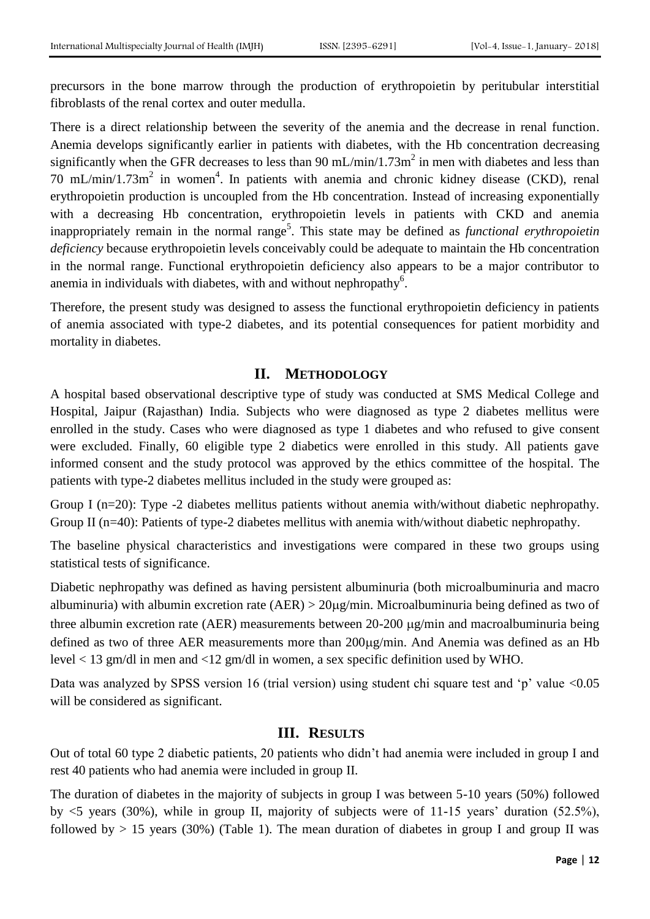precursors in the bone marrow through the production of erythropoietin by peritubular interstitial fibroblasts of the renal cortex and outer medulla.

There is a direct relationship between the severity of the anemia and the decrease in renal function. Anemia develops significantly earlier in patients with diabetes, with the Hb concentration decreasing significantly when the GFR decreases to less than  $90 \text{ mL/min}/1.73 \text{m}^2$  in men with diabetes and less than 70 mL/min/1.73m<sup>2</sup> in women<sup>4</sup>. In patients with anemia and chronic kidney disease (CKD), renal erythropoietin production is uncoupled from the Hb concentration. Instead of increasing exponentially with a decreasing Hb concentration, erythropoietin levels in patients with CKD and anemia inappropriately remain in the normal range<sup>5</sup>. This state may be defined as *functional erythropoietin deficiency* because erythropoietin levels conceivably could be adequate to maintain the Hb concentration in the normal range. Functional erythropoietin deficiency also appears to be a major contributor to anemia in individuals with diabetes, with and without nephropathy<sup>6</sup>.

Therefore, the present study was designed to assess the functional erythropoietin deficiency in patients of anemia associated with type-2 diabetes, and its potential consequences for patient morbidity and mortality in diabetes.

### **II. METHODOLOGY**

A hospital based observational descriptive type of study was conducted at SMS Medical College and Hospital, Jaipur (Rajasthan) India. Subjects who were diagnosed as type 2 diabetes mellitus were enrolled in the study. Cases who were diagnosed as type 1 diabetes and who refused to give consent were excluded. Finally, 60 eligible type 2 diabetics were enrolled in this study. All patients gave informed consent and the study protocol was approved by the ethics committee of the hospital. The patients with type-2 diabetes mellitus included in the study were grouped as:

Group I (n=20): Type -2 diabetes mellitus patients without anemia with/without diabetic nephropathy. Group II (n=40): Patients of type-2 diabetes mellitus with anemia with/without diabetic nephropathy.

The baseline physical characteristics and investigations were compared in these two groups using statistical tests of significance.

Diabetic nephropathy was defined as having persistent albuminuria (both microalbuminuria and macro albuminuria) with albumin excretion rate  $(AER) > 20\mu g/min$ . Microalbuminuria being defined as two of three albumin excretion rate (AER) measurements between 20-200  $\mu$ g/min and macroalbuminuria being defined as two of three AER measurements more than 200µg/min. And Anemia was defined as an Hb level < 13 gm/dl in men and <12 gm/dl in women, a sex specific definition used by WHO.

Data was analyzed by SPSS version 16 (trial version) using student chi square test and 'p' value <0.05 will be considered as significant.

### **III. RESULTS**

Out of total 60 type 2 diabetic patients, 20 patients who didn't had anemia were included in group I and rest 40 patients who had anemia were included in group II.

The duration of diabetes in the majority of subjects in group I was between 5-10 years (50%) followed by <5 years (30%), while in group II, majority of subjects were of 11-15 years' duration (52.5%), followed by  $> 15$  years (30%) (Table 1). The mean duration of diabetes in group I and group II was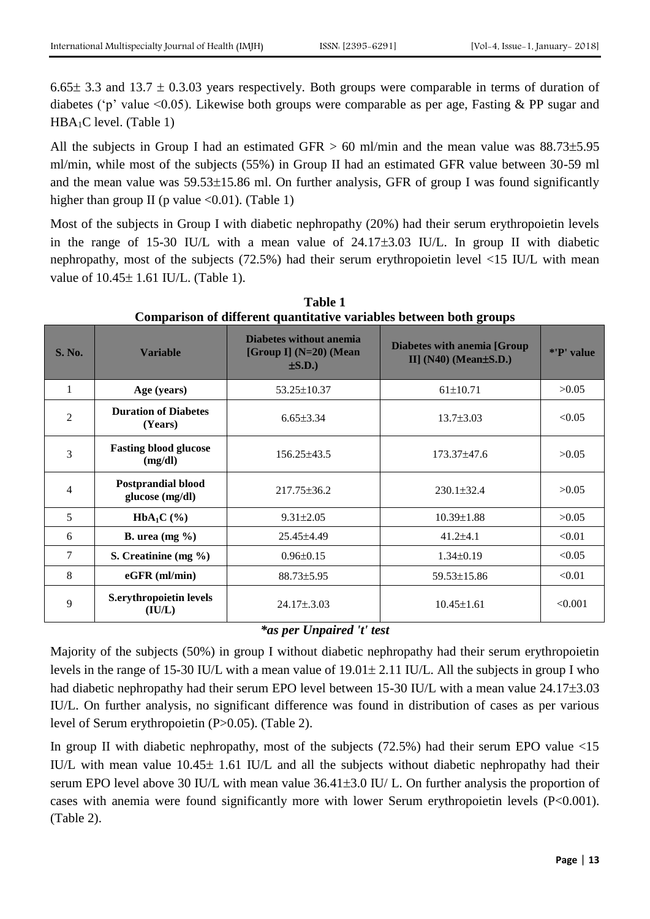6.65 $\pm$  3.3 and 13.7  $\pm$  0.3.03 years respectively. Both groups were comparable in terms of duration of diabetes ('p' value <0.05). Likewise both groups were comparable as per age, Fasting & PP sugar and  $HBA<sub>1</sub>C$  level. (Table 1)

All the subjects in Group I had an estimated GFR  $> 60$  ml/min and the mean value was  $88.73\pm5.95$ ml/min, while most of the subjects (55%) in Group II had an estimated GFR value between 30-59 ml and the mean value was  $59.53\pm15.86$  ml. On further analysis, GFR of group I was found significantly higher than group II (p value  $\langle 0.01 \rangle$ . (Table 1)

Most of the subjects in Group I with diabetic nephropathy (20%) had their serum erythropoietin levels in the range of 15-30 IU/L with a mean value of  $24.17\pm3.03$  IU/L. In group II with diabetic nephropathy, most of the subjects (72.5%) had their serum erythropoietin level <15 IU/L with mean value of  $10.45 \pm 1.61$  IU/L. (Table 1).

| Comparison of unferent quantitative variables between both groups |                                              |                                                                          |                                                                     |            |  |  |  |  |
|-------------------------------------------------------------------|----------------------------------------------|--------------------------------------------------------------------------|---------------------------------------------------------------------|------------|--|--|--|--|
| <b>S. No.</b>                                                     | <b>Variable</b>                              | <b>Diabetes without anemia</b><br>[Group I] $(N=20)$ (Mean<br>$\pm$ S.D. | <b>Diabetes with anemia [Group</b><br>II] $(N40)$ (Mean $\pm$ S.D.) | *'P' value |  |  |  |  |
| 1                                                                 | Age (years)                                  | 53.25±10.37                                                              | $61 \pm 10.71$                                                      | >0.05      |  |  |  |  |
| $\overline{2}$                                                    | <b>Duration of Diabetes</b><br>(Years)       | $6.65 \pm 3.34$                                                          | $13.7 \pm 3.03$                                                     | < 0.05     |  |  |  |  |
| 3                                                                 | <b>Fasting blood glucose</b><br>(mg/dl)      | $156.25 \pm 43.5$                                                        | $173.37 \pm 47.6$                                                   | >0.05      |  |  |  |  |
| 4                                                                 | <b>Postprandial blood</b><br>glucose (mg/dl) | $217.75 \pm 36.2$                                                        | $230.1 \pm 32.4$                                                    | >0.05      |  |  |  |  |
| 5                                                                 | $HbA_1C$ (%)                                 | $9.31 \pm 2.05$                                                          | $10.39 \pm 1.88$                                                    | >0.05      |  |  |  |  |
| 6                                                                 | <b>B.</b> urea $(mg \%)$                     | 25.45±4.49                                                               | $41.2{\pm}4.1$                                                      | < 0.01     |  |  |  |  |
| $\overline{7}$                                                    | S. Creatinine (mg $\%$ )                     | $0.96 \pm 0.15$                                                          | $1.34\pm0.19$                                                       | < 0.05     |  |  |  |  |
| 8                                                                 | $eGFR$ (ml/min)                              | $88.73 \pm 5.95$                                                         | 59.53±15.86                                                         | < 0.01     |  |  |  |  |
| 9                                                                 | S.erythropoietin levels<br>(IU/L)            | $24.17 \pm .3.03$                                                        | $10.45 \pm 1.61$                                                    | < 0.001    |  |  |  |  |

**Table 1 Comparison of different quantitative variables between both groups**

## *\*as per Unpaired 't' test*

Majority of the subjects (50%) in group I without diabetic nephropathy had their serum erythropoietin levels in the range of 15-30 IU/L with a mean value of  $19.01 \pm 2.11$  IU/L. All the subjects in group I who had diabetic nephropathy had their serum EPO level between 15-30 IU/L with a mean value 24.17 $\pm$ 3.03 IU/L. On further analysis, no significant difference was found in distribution of cases as per various level of Serum erythropoietin (P>0.05). (Table 2).

In group II with diabetic nephropathy, most of the subjects  $(72.5%)$  had their serum EPO value  $\le 15$ IU/L with mean value  $10.45 \pm 1.61$  IU/L and all the subjects without diabetic nephropathy had their serum EPO level above 30 IU/L with mean value 36.41±3.0 IU/L. On further analysis the proportion of cases with anemia were found significantly more with lower Serum erythropoietin levels (P<0.001). (Table 2).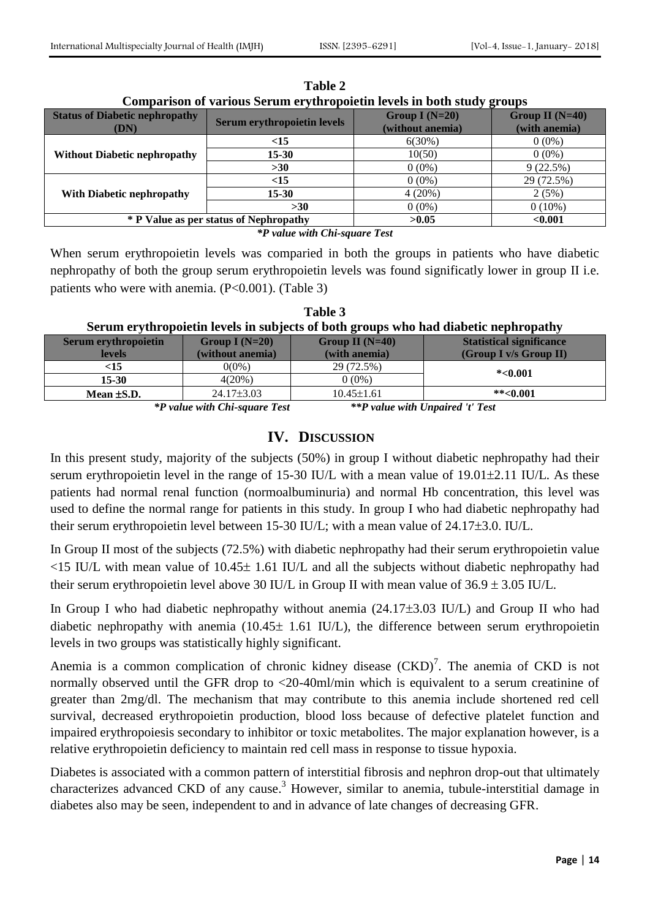| <b>Status of Diabetic nephropathy</b><br>(DN) | <b>Serum erythropoietin levels</b>     | Group I $(N=20)$<br>(without anemia) | Group II $(N=40)$<br>(with anemia) |
|-----------------------------------------------|----------------------------------------|--------------------------------------|------------------------------------|
|                                               | <15                                    | 6(30%)                               | $0(0\%)$                           |
| <b>Without Diabetic nephropathy</b>           | $15 - 30$                              | 10(50)                               | $0(0\%)$                           |
|                                               | $>30$                                  | $0(0\%)$                             | 9(22.5%)                           |
|                                               | <15                                    | $0(0\%)$                             | 29 (72.5%)                         |
| <b>With Diabetic nephropathy</b>              | $15 - 30$                              | 4(20%)                               | 2(5%)                              |
|                                               | $>30$                                  | $0(0\%)$                             | $0(10\%)$                          |
|                                               | * P Value as per status of Nephropathy | >0.05                                | < 0.001                            |

**Table 2 Comparison of various Serum erythropoietin levels in both study groups**

*\*P value with Chi-square Test*

When serum erythropoietin levels was comparied in both the groups in patients who have diabetic nephropathy of both the group serum erythropoietin levels was found significatly lower in group II i.e. patients who were with anemia.  $(P<0.001)$ . (Table 3)

| .<br>Serum erythropoietin levels in subjects of both groups who had diabetic nephropathy |                  |                   |                                 |  |  |  |  |
|------------------------------------------------------------------------------------------|------------------|-------------------|---------------------------------|--|--|--|--|
| Serum erythropoietin                                                                     | Group I $(N=20)$ | Group II $(N=40)$ | <b>Statistical significance</b> |  |  |  |  |
| levels                                                                                   | (without anemia) | (with anemia)     | (Group I v/s Group II)          |  |  |  |  |
| $<$ 15                                                                                   | $0(0\%)$         | 29 (72.5%)        | $*<0.001$                       |  |  |  |  |
| 15-30                                                                                    | $4(20\%)$        | $0(0\%)$          |                                 |  |  |  |  |

**Table 3**

*\*P value with Chi-square Test \*\*P value with Unpaired 't' Test*

**Mean ±S.D.** 24.17±3.03 10.45±1.61 **\*\***<0.001

### **IV. DISCUSSION**

In this present study, majority of the subjects (50%) in group I without diabetic nephropathy had their serum erythropoietin level in the range of 15-30 IU/L with a mean value of  $19.01\pm2.11$  IU/L. As these patients had normal renal function (normoalbuminuria) and normal Hb concentration, this level was used to define the normal range for patients in this study. In group I who had diabetic nephropathy had their serum erythropoietin level between 15-30 IU/L; with a mean value of  $24.17\pm3.0$ . IU/L.

In Group II most of the subjects (72.5%) with diabetic nephropathy had their serum erythropoietin value  $\langle 15 \text{ IU/L} \rangle$  with mean value of  $10.45 \pm 1.61 \text{ IU/L}$  and all the subjects without diabetic nephropathy had their serum erythropoietin level above 30 IU/L in Group II with mean value of  $36.9 \pm 3.05$  IU/L.

In Group I who had diabetic nephropathy without anemia  $(24.17\pm3.03 \text{ IU/L})$  and Group II who had diabetic nephropathy with anemia ( $10.45 \pm 1.61$  IU/L), the difference between serum erythropoietin levels in two groups was statistically highly significant.

Anemia is a common complication of chronic kidney disease  $(CKD)^7$ . The anemia of CKD is not normally observed until the GFR drop to <20-40ml/min which is equivalent to a serum creatinine of greater than 2mg/dl. The mechanism that may contribute to this anemia include shortened red cell survival, decreased erythropoietin production, blood loss because of defective platelet function and impaired erythropoiesis secondary to inhibitor or toxic metabolites. The major explanation however, is a relative erythropoietin deficiency to maintain red cell mass in response to tissue hypoxia.

Diabetes is associated with a common pattern of interstitial fibrosis and nephron drop-out that ultimately characterizes advanced CKD of any cause.<sup>3</sup> However, similar to anemia, tubule-interstitial damage in diabetes also may be seen, independent to and in advance of late changes of decreasing GFR.